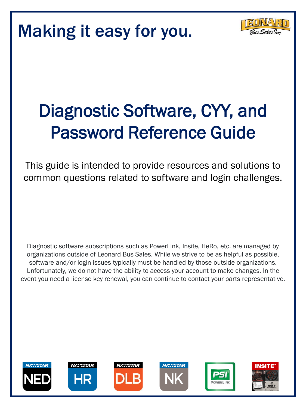

# Diagnostic Software, CYY, and Password Reference Guide

This guide is intended to provide resources and solutions to common questions related to software and login challenges.

Diagnostic software subscriptions such as PowerLink, Insite, HeRo, etc. are managed by organizations outside of Leonard Bus Sales. While we strive to be as helpful as possible, software and/or login issues typically must be handled by those outside organizations. Unfortunately, we do not have the ability to access your account to make changes. In the event you need a license key renewal, you can continue to contact your parts representative.











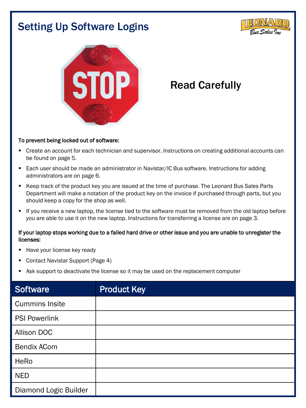# Setting Up Software Logins





# Read Carefully

#### To prevent being locked out of software:

- Create an account for each technician and supervisor. Instructions on creating additional accounts can be found on page 5.
- Each user should be made an administrator in Navistar/IC Bus software. Instructions for adding administrators are on page 6.
- Keep track of the product key you are issued at the time of purchase. The Leonard Bus Sales Parts Department will make a notation of the product key on the invoice if purchased through parts, but you should keep a copy for the shop as well.
- If you receive a new laptop, the license tied to the software must be removed from the old laptop before you are able to use it on the new laptop. Instructions for transferring a license are on page 3.

#### If your laptop stops working due to a failed hard drive or other issue and you are unable to unregister the licenses:

- Have your license key ready
- Contact Navistar Support (Page 4)
- Ask support to deactivate the license so it may be used on the replacement computer

| <b>Software</b>       | <b>Product Key</b> |
|-----------------------|--------------------|
| <b>Cummins Insite</b> |                    |
| <b>PSI Powerlink</b>  |                    |
| Allison DOC           |                    |
| <b>Bendix ACom</b>    |                    |
| HeRo                  |                    |
| <b>NED</b>            |                    |
| Diamond Logic Builder |                    |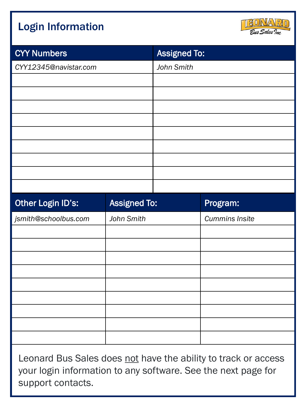# Login Information



| <b>CYY Numbers</b>       |                     | <b>Assigned To:</b> |                       |
|--------------------------|---------------------|---------------------|-----------------------|
| CYY12345@navistar.com    |                     | John Smith          |                       |
|                          |                     |                     |                       |
|                          |                     |                     |                       |
|                          |                     |                     |                       |
|                          |                     |                     |                       |
|                          |                     |                     |                       |
|                          |                     |                     |                       |
|                          |                     |                     |                       |
|                          |                     |                     |                       |
|                          |                     |                     |                       |
| <b>Other Login ID's:</b> | <b>Assigned To:</b> |                     | Program:              |
| jsmith@schoolbus.com     | John Smith          |                     | <b>Cummins Insite</b> |
|                          |                     |                     |                       |
|                          |                     |                     |                       |

| Other Login ID's:    | <b>Assigned To:</b> | Program:              |
|----------------------|---------------------|-----------------------|
| jsmith@schoolbus.com | John Smith          | <b>Cummins Insite</b> |
|                      |                     |                       |
|                      |                     |                       |
|                      |                     |                       |
|                      |                     |                       |
|                      |                     |                       |
|                      |                     |                       |
|                      |                     |                       |
|                      |                     |                       |
|                      |                     |                       |
|                      |                     |                       |

Leonard Bus Sales does not have the ability to track or access your login information to any software. See the next page for support contacts.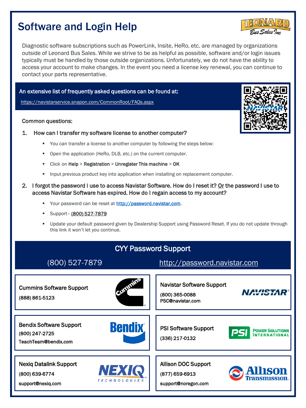### Software and Login Help

Diagnostic software subscriptions such as PowerLink, Insite, HeRo, etc. are managed by organizations outside of Leonard Bus Sales. While we strive to be as helpful as possible, software and/or login issues typically must be handled by those outside organizations. Unfortunately, we do not have the ability to access your account to make changes. In the event you need a license key renewal, you can continue to contact your parts representative.

#### An extensive list of frequently asked questions can be found at:

<https://navistarservice.snapon.com/CommonRoot/FAQs.aspx>

#### Common questions:

- 1. How can I transfer my software license to another computer?
	- You can transfer a license to another computer by following the steps below:
	- Open the application (HeRo, DLB, etc.) on the current computer.
	- Click on Help > Registration > Unregister This machine > OK
	- Input previous product key into application when installing on replacement computer.
- 2. I forgot the password I use to access Navistar Software. How do I reset it? Or the password I use to access Navistar Software has expired. How do I regain access to my account?
	- Your password can be reset at [http://password.navistar.com.](http://password.navistar.com/)
	- Support- (800) 527-7879
	- Update your default password given by Dealership Support using Password Reset. If you do not update through this link it won't let you continue.





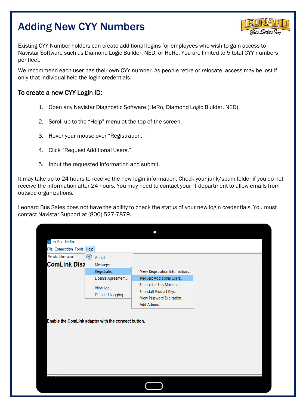# Adding New CYY Numbers



Existing CYY Number holders can create additional logins for employees who wish to gain access to Navistar Software such as Diamond Logic Builder, NED, or HeRo. You are limited to 5 total CYY numbers per fleet.

We recommend each user has their own CYY number. As people retire or relocate, access may be lost if only that individual held the login credentials.

#### To create a new CYY Login ID:

- 1. Open any Navistar Diagnostic Software (HeRo, Diamond Logic Builder, NED).
- 2. Scroll up to the "Help" menu at the top of the screen.
- 3. Hover your mouse over "Registration."
- 4. Click "Request Additional Users."
- 5. Input the requested information and submit.

It may take up to 24 hours to receive the new login information. Check your junk/spam folder if you do not receive the information after 24 hours. You may need to contact your IT department to allow emails from outside organizations.

Leonard Bus Sales does not have the ability to check the status of your new login credentials. You must contact Navistar Support at (800) 527-7879.

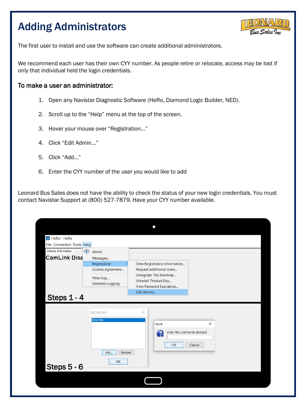# Adding Administrators



The first user to install and use the software can create additional administrators.

We recommend each user has their own CYY number. As people retire or relocate, access may be lost if only that individual held the login credentials.

#### To make a user an administrator:

- 1. Open any Navistar Diagnostic Software (HeRo, Diamond Logic Builder, NED).
- 2. Scroll up to the "Help" menu at the top of the screen.
- 3. Hover your mouse over "Registration..."
- 4. Click "Edit Admin…"
- 5. Click "Add…"
- 6. Enter the CYY number of the user you would like to add

Leonard Bus Sales does not have the ability to check the status of your new login credentials. You must contact Navistar Support at (800) 527-7879. Have your CYY number available.

| HR HeRo - HeRo             |          |                                     |            | 0                                                                            |          |  |
|----------------------------|----------|-------------------------------------|------------|------------------------------------------------------------------------------|----------|--|
| File Connection Tools Help |          |                                     |            |                                                                              |          |  |
| Vehicle Information        | $\bf(i)$ | About                               |            |                                                                              |          |  |
| <b>ComLink Disa</b>        |          | Messages                            |            |                                                                              |          |  |
|                            |          | Registration                        |            | View Registration Information                                                |          |  |
|                            |          | License Agreement                   |            | <b>Request Additional Users</b>                                              |          |  |
|                            |          | View Log<br><b>Detailed Logging</b> |            | Unregister This Machine<br>Uninstall Product Key<br>View Password Expiration |          |  |
| Steps 1 - 4                |          |                                     | Edit Admin |                                                                              |          |  |
|                            |          | <b>Edit Admin</b>                   | $\times$   |                                                                              |          |  |
|                            |          | DY61786                             |            | Input                                                                        | $\times$ |  |
|                            |          | Add<br>Remove                       |            | Enter the username desired<br>OK                                             | Cancel   |  |
|                            |          | OK                                  |            |                                                                              |          |  |
| Steps 5 - 6                |          |                                     |            |                                                                              |          |  |